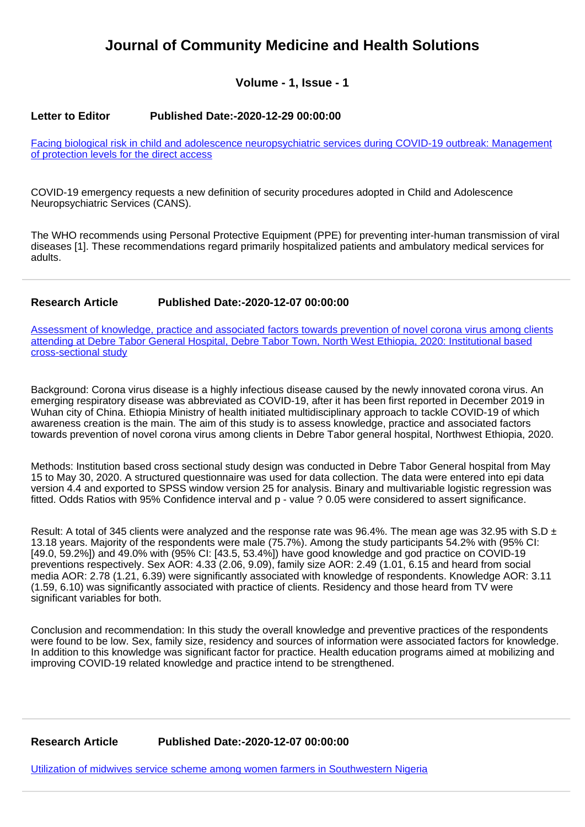# **Journal of Community Medicine and Health Solutions**

# **Volume - 1, Issue - 1**

#### **Letter to Editor Published Date:-2020-12-29 00:00:00**

[Facing biological risk in child and adolescence neuropsychiatric services during COVID-19 outbreak: Management](https://www.communitymedjournal.com/articles/jcmhs-aid1006.pdf) [of protection levels for the direct access](https://www.communitymedjournal.com/articles/jcmhs-aid1006.pdf)

COVID-19 emergency requests a new definition of security procedures adopted in Child and Adolescence Neuropsychiatric Services (CANS).

The WHO recommends using Personal Protective Equipment (PPE) for preventing inter-human transmission of viral diseases [1]. These recommendations regard primarily hospitalized patients and ambulatory medical services for adults.

#### **Research Article Published Date:-2020-12-07 00:00:00**

[Assessment of knowledge, practice and associated factors towards prevention of novel corona virus among clients](https://www.communitymedjournal.com/articles/jcmhs-aid1004.pdf) [attending at Debre Tabor General Hospital, Debre Tabor Town, North West Ethiopia, 2020: Institutional based](https://www.communitymedjournal.com/articles/jcmhs-aid1004.pdf) [cross-sectional study](https://www.communitymedjournal.com/articles/jcmhs-aid1004.pdf)

Background: Corona virus disease is a highly infectious disease caused by the newly innovated corona virus. An emerging respiratory disease was abbreviated as COVID-19, after it has been first reported in December 2019 in Wuhan city of China. Ethiopia Ministry of health initiated multidisciplinary approach to tackle COVID-19 of which awareness creation is the main. The aim of this study is to assess knowledge, practice and associated factors towards prevention of novel corona virus among clients in Debre Tabor general hospital, Northwest Ethiopia, 2020.

Methods: Institution based cross sectional study design was conducted in Debre Tabor General hospital from May 15 to May 30, 2020. A structured questionnaire was used for data collection. The data were entered into epi data version 4.4 and exported to SPSS window version 25 for analysis. Binary and multivariable logistic regression was fitted. Odds Ratios with 95% Confidence interval and p - value ? 0.05 were considered to assert significance.

Result: A total of 345 clients were analyzed and the response rate was 96.4%. The mean age was 32.95 with S.D  $\pm$ 13.18 years. Majority of the respondents were male (75.7%). Among the study participants 54.2% with (95% CI: [49.0, 59.2%]) and 49.0% with (95% CI: [43.5, 53.4%]) have good knowledge and god practice on COVID-19 preventions respectively. Sex AOR: 4.33 (2.06, 9.09), family size AOR: 2.49 (1.01, 6.15 and heard from social media AOR: 2.78 (1.21, 6.39) were significantly associated with knowledge of respondents. Knowledge AOR: 3.11 (1.59, 6.10) was significantly associated with practice of clients. Residency and those heard from TV were significant variables for both.

Conclusion and recommendation: In this study the overall knowledge and preventive practices of the respondents were found to be low. Sex, family size, residency and sources of information were associated factors for knowledge. In addition to this knowledge was significant factor for practice. Health education programs aimed at mobilizing and improving COVID-19 related knowledge and practice intend to be strengthened.

#### **Research Article Published Date:-2020-12-07 00:00:00**

[Utilization of midwives service scheme among women farmers in Southwestern Nigeria](https://www.communitymedjournal.com/articles/jcmhs-aid1005.pdf)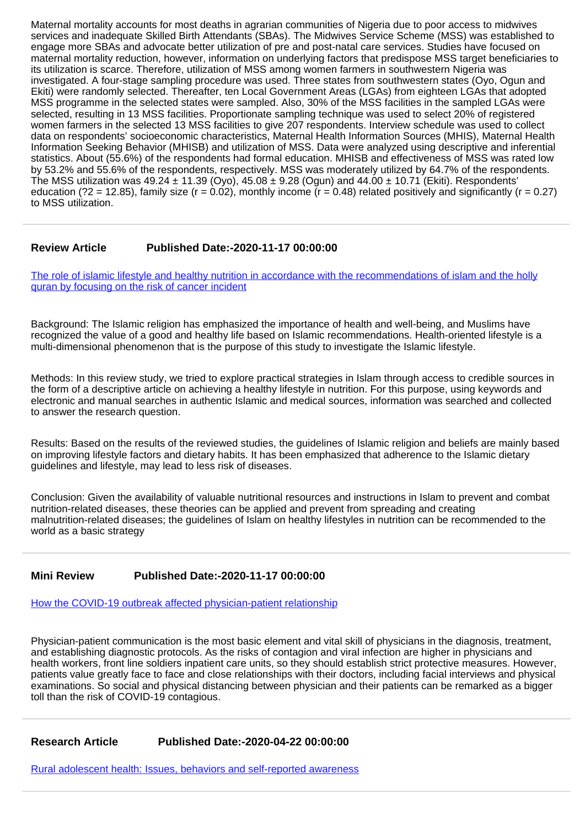Maternal mortality accounts for most deaths in agrarian communities of Nigeria due to poor access to midwives services and inadequate Skilled Birth Attendants (SBAs). The Midwives Service Scheme (MSS) was established to engage more SBAs and advocate better utilization of pre and post-natal care services. Studies have focused on maternal mortality reduction, however, information on underlying factors that predispose MSS target beneficiaries to its utilization is scarce. Therefore, utilization of MSS among women farmers in southwestern Nigeria was investigated. A four-stage sampling procedure was used. Three states from southwestern states (Oyo, Ogun and Ekiti) were randomly selected. Thereafter, ten Local Government Areas (LGAs) from eighteen LGAs that adopted MSS programme in the selected states were sampled. Also, 30% of the MSS facilities in the sampled LGAs were selected, resulting in 13 MSS facilities. Proportionate sampling technique was used to select 20% of registered women farmers in the selected 13 MSS facilities to give 207 respondents. Interview schedule was used to collect data on respondents' socioeconomic characteristics, Maternal Health Information Sources (MHIS), Maternal Health Information Seeking Behavior (MHISB) and utilization of MSS. Data were analyzed using descriptive and inferential statistics. About (55.6%) of the respondents had formal education. MHISB and effectiveness of MSS was rated low by 53.2% and 55.6% of the respondents, respectively. MSS was moderately utilized by 64.7% of the respondents. The MSS utilization was  $49.24 \pm 11.39$  (Oyo),  $45.08 \pm 9.28$  (Ogun) and  $44.00 \pm 10.71$  (Ekiti). Respondents' education (?2 = 12.85), family size ( $r = 0.02$ ), monthly income ( $r = 0.48$ ) related positively and significantly ( $r = 0.27$ ) to MSS utilization.

## **Review Article Published Date:-2020-11-17 00:00:00**

[The role of islamic lifestyle and healthy nutrition in accordance with the recommendations of islam and the holly](https://www.communitymedjournal.com/articles/jcmhs-aid1002.pdf) [quran by focusing on the risk of cancer incident](https://www.communitymedjournal.com/articles/jcmhs-aid1002.pdf)

Background: The Islamic religion has emphasized the importance of health and well-being, and Muslims have recognized the value of a good and healthy life based on Islamic recommendations. Health-oriented lifestyle is a multi-dimensional phenomenon that is the purpose of this study to investigate the Islamic lifestyle.

Methods: In this review study, we tried to explore practical strategies in Islam through access to credible sources in the form of a descriptive article on achieving a healthy lifestyle in nutrition. For this purpose, using keywords and electronic and manual searches in authentic Islamic and medical sources, information was searched and collected to answer the research question.

Results: Based on the results of the reviewed studies, the guidelines of Islamic religion and beliefs are mainly based on improving lifestyle factors and dietary habits. It has been emphasized that adherence to the Islamic dietary guidelines and lifestyle, may lead to less risk of diseases.

Conclusion: Given the availability of valuable nutritional resources and instructions in Islam to prevent and combat nutrition-related diseases, these theories can be applied and prevent from spreading and creating malnutrition-related diseases; the guidelines of Islam on healthy lifestyles in nutrition can be recommended to the world as a basic strategy

## **Mini Review Published Date:-2020-11-17 00:00:00**

[How the COVID-19 outbreak affected physician-patient relationship](https://www.communitymedjournal.com/articles/jcmhs-aid1003.pdf)

Physician-patient communication is the most basic element and vital skill of physicians in the diagnosis, treatment, and establishing diagnostic protocols. As the risks of contagion and viral infection are higher in physicians and health workers, front line soldiers inpatient care units, so they should establish strict protective measures. However, patients value greatly face to face and close relationships with their doctors, including facial interviews and physical examinations. So social and physical distancing between physician and their patients can be remarked as a bigger toll than the risk of COVID-19 contagious.

**Research Article Published Date:-2020-04-22 00:00:00**

[Rural adolescent health: Issues, behaviors and self-reported awareness](https://www.communitymedjournal.com/articles/jcmhs-aid1001.pdf)